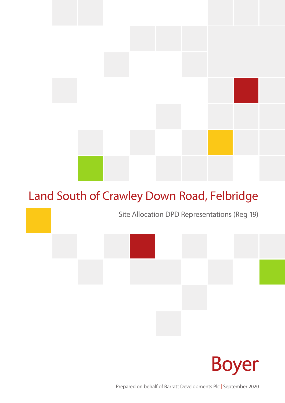# Land South of Crawley Down Road, Felbridge

Site Allocation DPD Representations (Reg 19)



Prepared on behalf of Barratt Developments Plc | September 2020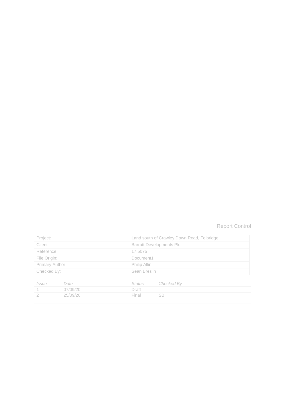### Report Control

| Project:              | Land south of Crawley Down Road, Felbridge |
|-----------------------|--------------------------------------------|
| Client:               | <b>Barratt Developments Plc</b>            |
| Reference:            | 17.5075                                    |
| File Origin:          | Document1                                  |
| <b>Primary Author</b> | Philip Allin                               |
| Checked By:           | Sean Breslin                               |

| Issue | Date     | Status | Checked By |
|-------|----------|--------|------------|
|       | 07/09/20 | Draft  |            |
|       | 25/09/20 | Final  | - SB       |
|       |          |        |            |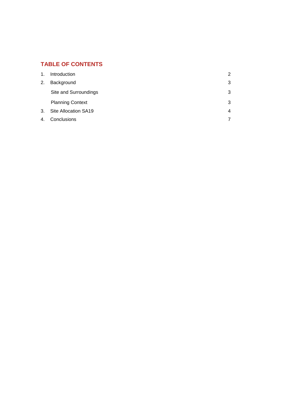### **TABLE OF CONTENTS**

| 1. | Introduction            | $\overline{2}$ |
|----|-------------------------|----------------|
| 2. | Background              | 3              |
|    | Site and Surroundings   | 3              |
|    | <b>Planning Context</b> | 3              |
| 3. | Site Allocation SA19    | 4              |
| 4. | Conclusions             | 7              |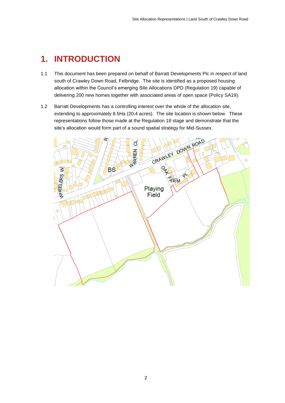### <span id="page-4-0"></span>**1. INTRODUCTION**

- 1.1 This document has been prepared on behalf of Barratt Developments Plc in respect of land south of Crawley Down Road, Felbridge. The site is identified as a proposed housing allocation within the Council's emerging Site Allocations DPD (Regulation 19) capable of delivering 200 new homes together with associated areas of open space (Policy SA19).
- 1.2 Barratt Developments has a controlling interest over the whole of the allocation site, extending to approximately 8.5Ha (20.4 acres). The site location is shown below. These representations follow those made at the Regulation 18 stage and demonstrate that the site's allocation would form part of a sound spatial strategy for Mid-Sussex.

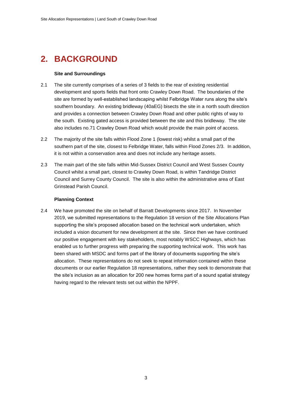# <span id="page-5-0"></span>**2. BACKGROUND**

#### **Site and Surroundings**

- <span id="page-5-1"></span>2.1 The site currently comprises of a series of 3 fields to the rear of existing residential development and sports fields that front onto Crawley Down Road. The boundaries of the site are formed by well-established landscaping whilst Felbridge Water runs along the site's southern boundary. An existing bridleway (40aEG) bisects the site in a north south direction and provides a connection between Crawley Down Road and other public rights of way to the south. Existing gated access is provided between the site and this bridleway. The site also includes no.71 Crawley Down Road which would provide the main point of access.
- 2.2 The majority of the site falls within Flood Zone 1 (lowest risk) whilst a small part of the southern part of the site, closest to Felbridge Water, falls within Flood Zones 2/3. In addition, it is not within a conservation area and does not include any heritage assets.
- 2.3 The main part of the site falls within Mid-Sussex District Council and West Sussex County Council whilst a small part, closest to Crawley Down Road, is within Tandridge District Council and Surrey County Council. The site is also within the administrative area of East Grinstead Parish Council.

#### **Planning Context**

<span id="page-5-2"></span>2.4 We have promoted the site on behalf of Barratt Developments since 2017. In November 2019, we submitted representations to the Regulation 18 version of the Site Allocations Plan supporting the site's proposed allocation based on the technical work undertaken, which included a vision document for new development at the site. Since then we have continued our positive engagement with key stakeholders, most notably WSCC Highways, which has enabled us to further progress with preparing the supporting technical work. This work has been shared with MSDC and forms part of the library of documents supporting the site's allocation. These representations do not seek to repeat information contained within these documents or our earlier Regulation 18 representations, rather they seek to demonstrate that the site's inclusion as an allocation for 200 new homes forms part of a sound spatial strategy having regard to the relevant tests set out within the NPPF.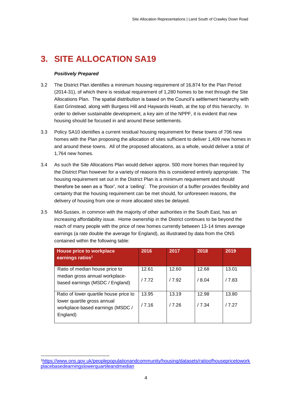# <span id="page-6-0"></span>**3. SITE ALLOCATION SA19**

#### *Positively Prepared*

-

- 3.2 The District Plan identifies a minimum housing requirement of 16,874 for the Plan Period (2014-31), of which there is residual requirement of 1,280 homes to be met through the Site Allocations Plan. The spatial distribution is based on the Council's settlement hierarchy with East Grinstead, along with Burgess Hill and Haywards Heath, at the top of this hierarchy. In order to deliver sustainable development, a key aim of the NPPF, it is evident that new housing should be focused in and around these settlements.
- 3.3 Policy SA10 identifies a current residual housing requirement for these towns of 706 new homes with the Plan proposing the allocation of sites sufficient to deliver 1,409 new homes in and around these towns. All of the proposed allocations, as a whole, would deliver a total of 1,764 new homes.
- 3.4 As such the Site Allocations Plan would deliver approx. 500 more homes than required by the District Plan however for a variety of reasons this is considered entirely appropriate. The housing requirement set out in the District Plan is a minimum requirement and should therefore be seen as a 'floor', not a 'ceiling'. The provision of a buffer provides flexibility and certainty that the housing requirement can be met should, for unforeseen reasons, the delivery of housing from one or more allocated sites be delayed.
- 3.5 Mid-Sussex, in common with the majority of other authorities in the South East, has an increasing affordability issue. Home ownership in the District continues to be beyond the reach of many people with the price of new homes currently between 13-14 times average earnings (a rate double the average for England), as illustrated by data from the ONS contained within the following table:

| House price to workplace<br>earnings ratios <sup>1</sup>                    | 2016  | 2017  | 2018  | 2019  |
|-----------------------------------------------------------------------------|-------|-------|-------|-------|
| Ratio of median house price to                                              | 12.61 | 12.60 | 12.68 | 13.01 |
| median gross annual workplace-<br>based earnings (MSDC / England)           | 17.72 | 17.92 | /8.04 | /7.83 |
| Ratio of lower quartile house price to                                      | 13.95 | 13.19 | 12.98 | 13.80 |
| lower quartile gross annual<br>workplace-based earnings (MSDC /<br>England) | /7.16 | /7.26 | /7.34 | /7.27 |
|                                                                             |       |       |       |       |

<sup>1</sup>[https://www.ons.gov.uk/peoplepopulationandcommunity/housing/datasets/ratioofhousepricetowork](https://www.ons.gov.uk/peoplepopulationandcommunity/housing/datasets/ratioofhousepricetoworkplacebasedearningslowerquartileandmedian) [placebasedearningslowerquartileandmedian](https://www.ons.gov.uk/peoplepopulationandcommunity/housing/datasets/ratioofhousepricetoworkplacebasedearningslowerquartileandmedian)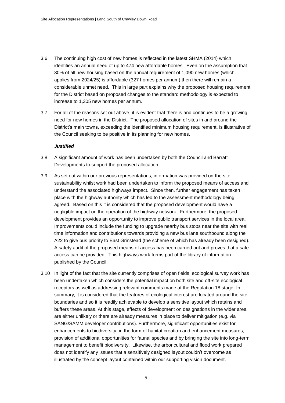- 3.6 The continuing high cost of new homes is reflected in the latest SHMA (2014) which identifies an annual need of up to 474 new affordable homes. Even on the assumption that 30% of all new housing based on the annual requirement of 1,090 new homes (which applies from 2024/25) is affordable (327 homes per annum) then there will remain a considerable unmet need. This in large part explains why the proposed housing requirement for the District based on proposed changes to the standard methodology is expected to increase to 1,305 new homes per annum.
- 3.7 For all of the reasons set out above, it is evident that there is and continues to be a growing need for new homes in the District. The proposed allocation of sites in and around the District's main towns, exceeding the identified minimum housing requirement, is illustrative of the Council seeking to be positive in its planning for new homes.

#### *Justified*

- 3.8 A significant amount of work has been undertaken by both the Council and Barratt Developments to support the proposed allocation.
- 3.9 As set out within our previous representations, information was provided on the site sustainability whilst work had been undertaken to inform the proposed means of access and understand the associated highways impact. Since then, further engagement has taken place with the highway authority which has led to the assessment methodology being agreed. Based on this it is considered that the proposed development would have a negligible impact on the operation of the highway network. Furthermore, the proposed development provides an opportunity to improve public transport services in the local area. Improvements could include the funding to upgrade nearby bus stops near the site with real time information and contributions towards providing a new bus lane southbound along the A22 to give bus priority to East Grinstead (the scheme of which has already been designed). A safety audit of the proposed means of access has been carried out and proves that a safe access can be provided. This highways work forms part of the library of information published by the Council.
- 3.10 In light of the fact that the site currently comprises of open fields, ecological survey work has been undertaken which considers the potential impact on both site and off-site ecological receptors as well as addressing relevant comments made at the Regulation 18 stage. In summary, it is considered that the features of ecological interest are located around the site boundaries and so it is readily achievable to develop a sensitive layout which retains and buffers these areas. At this stage, effects of development on designations in the wider area are either unlikely or there are already measures in place to deliver mitigation (e.g. via SANG/SAMM developer contributions). Furthermore, significant opportunities exist for enhancements to biodiversity, in the form of habitat creation and enhancement measures, provision of additional opportunities for faunal species and by bringing the site into long-term management to benefit biodiversity. Likewise, the arboricultural and flood work prepared does not identify any issues that a sensitively designed layout couldn't overcome as illustrated by the concept layout contained within our supporting vision document.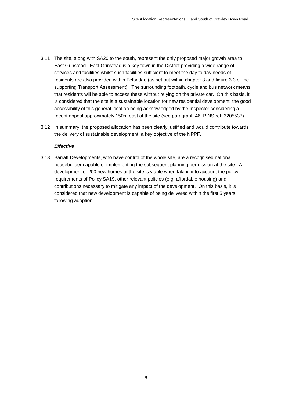- 3.11 The site, along with SA20 to the south, represent the only proposed major growth area to East Grinstead. East Grinstead is a key town in the District providing a wide range of services and facilities whilst such facilities sufficient to meet the day to day needs of residents are also provided within Felbridge (as set out within chapter 3 and figure 3.3 of the supporting Transport Assessment). The surrounding footpath, cycle and bus network means that residents will be able to access these without relying on the private car. On this basis, it is considered that the site is a sustainable location for new residential development, the good accessibility of this general location being acknowledged by the Inspector considering a recent appeal approximately 150m east of the site (see paragraph 46, PINS ref: 3205537).
- 3.12 In summary, the proposed allocation has been clearly justified and would contribute towards the delivery of sustainable development, a key objective of the NPPF.

#### *Effective*

3.13 Barratt Developments, who have control of the whole site, are a recognised national housebuilder capable of implementing the subsequent planning permission at the site. A development of 200 new homes at the site is viable when taking into account the policy requirements of Policy SA19, other relevant policies (e.g. affordable housing) and contributions necessary to mitigate any impact of the development. On this basis, it is considered that new development is capable of being delivered within the first 5 years, following adoption.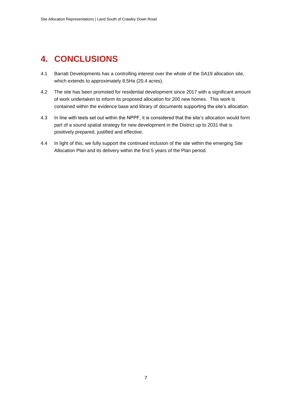### <span id="page-9-0"></span>**4. CONCLUSIONS**

- 4.1 Barratt Developments has a controlling interest over the whole of the SA19 allocation site, which extends to approximately 8.5Ha (20.4 acres).
- 4.2 The site has been promoted for residential development since 2017 with a significant amount of work undertaken to inform its proposed allocation for 200 new homes. This work is contained within the evidence base and library of documents supporting the site's allocation.
- 4.3 In line with tests set out within the NPPF, it is considered that the site's allocation would form part of a sound spatial strategy for new development in the District up to 2031 that is positively prepared, justified and effective.
- 4.4 In light of this, we fully support the continued inclusion of the site within the emerging Site Allocation Plan and its delivery within the first 5 years of the Plan period.